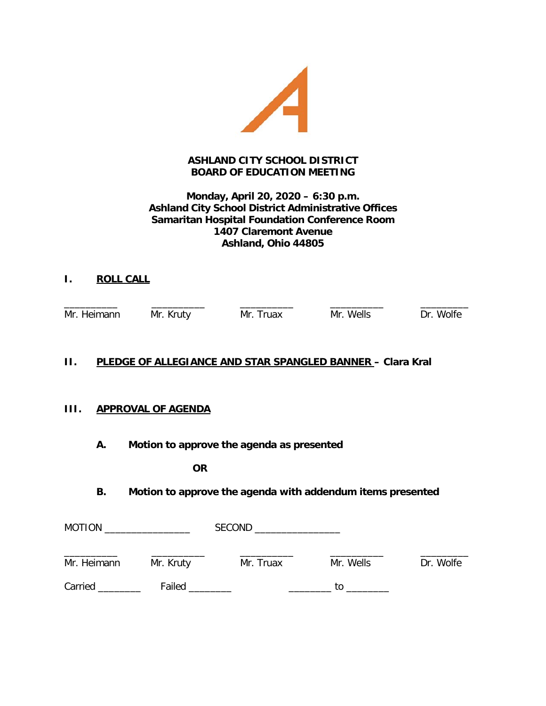

# **ASHLAND CITY SCHOOL DISTRICT BOARD OF EDUCATION MEETING**

# **Monday, April 20, 2020 – 6:30 p.m. Ashland City School District Administrative Offices Samaritan Hospital Foundation Conference Room 1407 Claremont Avenue Ashland, Ohio 44805**

**I. ROLL CALL**

Mr. Heimann Mr. Kruty Mr. Truax Mr. Wells Dr. Wolfe

\_\_\_\_\_\_\_\_\_\_ \_\_\_\_\_\_\_\_\_\_ \_\_\_\_\_\_\_\_\_\_ \_\_\_\_\_\_\_\_\_\_ \_\_\_\_\_\_\_\_\_

# **II. PLEDGE OF ALLEGIANCE AND STAR SPANGLED BANNER – Clara Kral**

# **III. APPROVAL OF AGENDA**

**A. Motion to approve the agenda as presented**

**OR**

**B. Motion to approve the agenda with addendum items presented**

| <b>MOTION</b> |           | <b>SECOND</b><br>the control of the control of the control of |           |           |
|---------------|-----------|---------------------------------------------------------------|-----------|-----------|
| Mr. Heimann   | Mr. Kruty | Mr. Truax                                                     | Mr. Wells | Dr. Wolfe |
| Carried       | Failed    |                                                               | to        |           |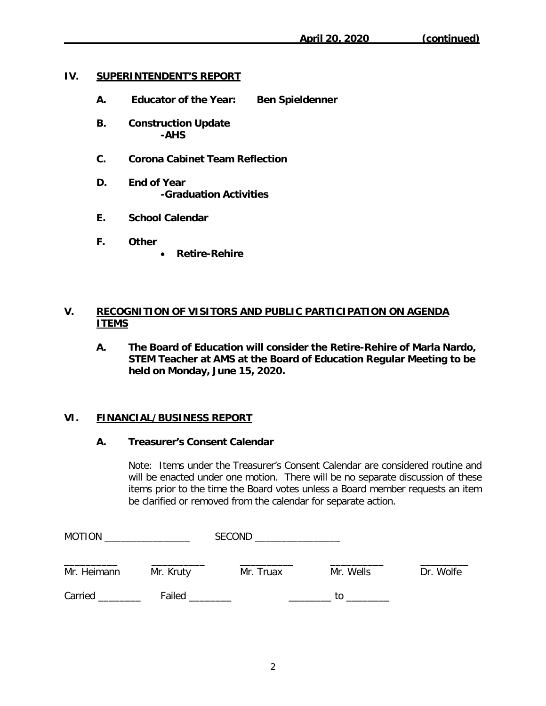### **IV. SUPERINTENDENT'S REPORT**

- **A. Educator of the Year: Ben Spieldenner**
- **B. Construction Update -AHS**
- **C. Corona Cabinet Team Reflection**
- **D. End of Year -Graduation Activities**
- **E. School Calendar**
- **F. Other**
	- **Retire-Rehire**

# **V. RECOGNITION OF VISITORS AND PUBLIC PARTICIPATION ON AGENDA ITEMS**

**A. The Board of Education will consider the Retire-Rehire of Marla Nardo, STEM Teacher at AMS at the Board of Education Regular Meeting to be held on Monday, June 15, 2020.**

# **VI. FINANCIAL/BUSINESS REPORT**

#### **A. Treasurer's Consent Calendar**

Note: Items under the Treasurer's Consent Calendar are considered routine and will be enacted under one motion. There will be no separate discussion of these items prior to the time the Board votes unless a Board member requests an item be clarified or removed from the calendar for separate action.

| <b>MOTION</b><br>the control of the control of the control of |           | <b>SECOND</b><br>the control of the control of the control of |           |           |
|---------------------------------------------------------------|-----------|---------------------------------------------------------------|-----------|-----------|
| Mr. Heimann                                                   | Mr. Kruty | Mr. Truax                                                     | Mr. Wells | Dr. Wolfe |
| Carried                                                       | Failed    |                                                               | to        |           |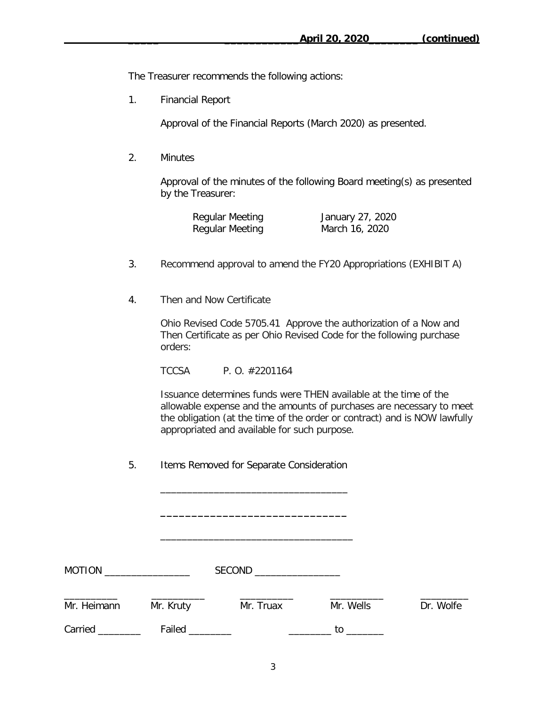The Treasurer recommends the following actions:

1. Financial Report

Approval of the Financial Reports (March 2020) as presented.

2. Minutes

Approval of the minutes of the following Board meeting(s) as presented by the Treasurer:

| Regular Meeting | January 27, 2020 |
|-----------------|------------------|
| Regular Meeting | March 16, 2020   |

- 3. Recommend approval to amend the FY20 Appropriations (EXHIBIT A)
- 4. Then and Now Certificate

Ohio Revised Code 5705.41 Approve the authorization of a Now and Then Certificate as per Ohio Revised Code for the following purchase orders:

TCCSA P. O. #2201164

Issuance determines funds were THEN available at the time of the allowable expense and the amounts of purchases are necessary to meet the obligation (at the time of the order or contract) and is NOW lawfully appropriated and available for such purpose.

5.Items Removed for Separate Consideration

 $\mathcal{L}=\{1,2,3,4,5\}$ 

**\_\_\_\_\_\_\_\_\_\_\_\_\_\_\_\_\_\_\_\_\_\_\_\_\_\_\_\_\_\_**

\_\_\_\_\_\_\_\_\_\_\_\_\_\_\_\_\_\_\_\_\_\_\_\_\_\_\_\_\_\_\_\_\_\_\_\_

MOTION \_\_\_\_\_\_\_\_\_\_\_\_\_\_\_\_ SECOND \_\_\_\_\_\_\_\_\_\_\_\_\_\_\_\_ \_\_\_\_\_\_\_\_\_\_ \_\_\_\_\_\_\_\_\_\_ \_\_\_\_\_\_\_\_\_\_ \_\_\_\_\_\_\_\_\_\_ \_\_\_\_\_\_\_\_\_ Mr. Heimann Mr. Kruty Mr. Truax Mr. Wells Dr. Wolfe Carried \_\_\_\_\_\_\_\_ Failed \_\_\_\_\_\_\_\_ \_\_\_\_\_\_\_\_ to \_\_\_\_\_\_\_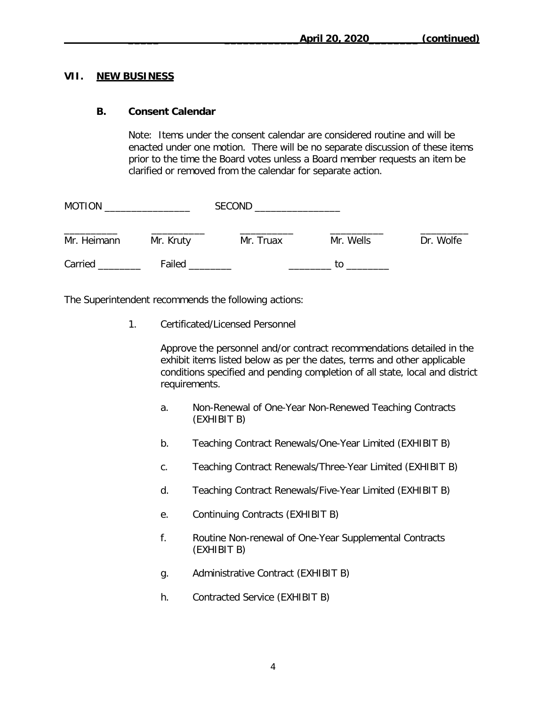#### **VII. NEW BUSINESS**

#### **B. Consent Calendar**

Note: Items under the consent calendar are considered routine and will be enacted under one motion. There will be no separate discussion of these items prior to the time the Board votes unless a Board member requests an item be clarified or removed from the calendar for separate action.

| <b>MOTION</b> |           | <b>SECOND</b> |           |           |
|---------------|-----------|---------------|-----------|-----------|
| Mr. Heimann   | Mr. Kruty | Mr. Truax     | Mr. Wells | Dr. Wolfe |
| Carried       | Failed    |               | tο        |           |

The Superintendent recommends the following actions:

1. Certificated/Licensed Personnel

Approve the personnel and/or contract recommendations detailed in the exhibit items listed below as per the dates, terms and other applicable conditions specified and pending completion of all state, local and district requirements.

- a. Non-Renewal of One-Year Non-Renewed Teaching Contracts (EXHIBIT B)
- b. Teaching Contract Renewals/One-Year Limited (EXHIBIT B)
- c. Teaching Contract Renewals/Three-Year Limited (EXHIBIT B)
- d. Teaching Contract Renewals/Five-Year Limited (EXHIBIT B)
- e. Continuing Contracts (EXHIBIT B)
- f. Routine Non-renewal of One-Year Supplemental Contracts (EXHIBIT B)
- g. Administrative Contract (EXHIBIT B)
- h. Contracted Service (EXHIBIT B)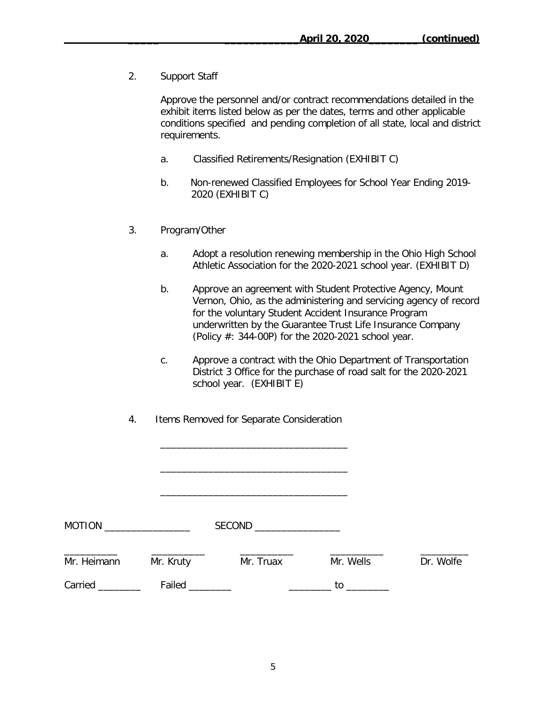2. Support Staff

Approve the personnel and/or contract recommendations detailed in the exhibit items listed below as per the dates, terms and other applicable conditions specified and pending completion of all state, local and district requirements.

- a. Classified Retirements/Resignation (EXHIBIT C)
- b. Non-renewed Classified Employees for School Year Ending 2019- 2020 (EXHIBIT C)
- 3. Program/Other
	- a. Adopt a resolution renewing membership in the Ohio High School Athletic Association for the 2020-2021 school year. (EXHIBIT D)
	- b. Approve an agreement with Student Protective Agency, Mount Vernon, Ohio, as the administering and servicing agency of record for the voluntary Student Accident Insurance Program underwritten by the Guarantee Trust Life Insurance Company (Policy #: 344-00P) for the 2020-2021 school year.
	- c. Approve a contract with the Ohio Department of Transportation District 3 Office for the purchase of road salt for the 2020-2021 school year. (EXHIBIT E)
- 4. Items Removed for Separate Consideration

| <b>MOTION</b>   | <u> 1990 - John Stein, mars and de la politica de la politica de la politica de la politica de la politica de la</u> | SECOND <b>SECOND</b> |           |           |
|-----------------|----------------------------------------------------------------------------------------------------------------------|----------------------|-----------|-----------|
| Mr. Heimann     | Mr. Kruty                                                                                                            | Mr. Truax            | Mr. Wells | Dr. Wolfe |
| Carried _______ | Failed ________                                                                                                      |                      |           |           |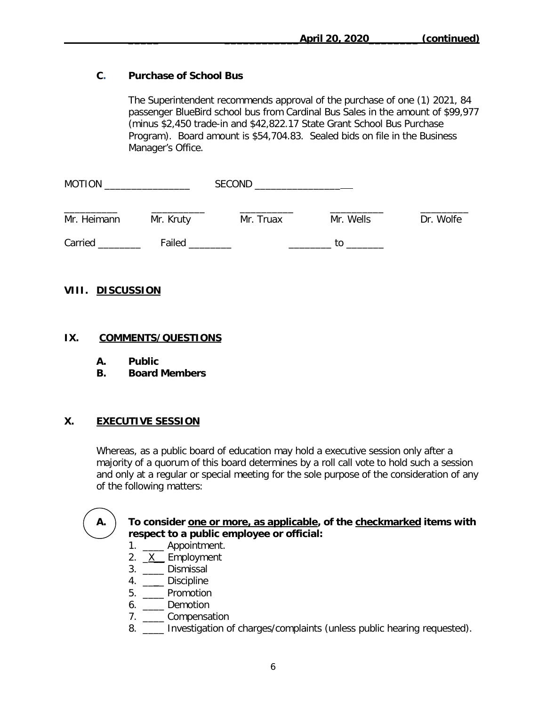# **C. Purchase of School Bus**

The Superintendent recommends approval of the purchase of one (1) 2021, 84 passenger BlueBird school bus from Cardinal Bus Sales in the amount of \$99,977 (minus \$2,450 trade-in and \$42,822.17 State Grant School Bus Purchase Program). Board amount is \$54,704.83. Sealed bids on file in the Business Manager's Office.

| <b>MOTION</b> |           | <b>SECOND</b> |           |           |
|---------------|-----------|---------------|-----------|-----------|
| Mr. Heimann   | Mr. Kruty | Mr. Truax     | Mr. Wells | Dr. Wolfe |
| Carried       | Failed    |               | tΩ        |           |

#### **VIII. DISCUSSION**

#### **IX. COMMENTS/QUESTIONS**

- **A. Public**
- **B. Board Members**

# **X. EXECUTIVE SESSION**

Whereas, as a public board of education may hold a executive session only after a majority of a quorum of this board determines by a roll call vote to hold such a session and only at a regular or special meeting for the sole purpose of the consideration of any of the following matters:



# **A. To consider one or more, as applicable, of the checkmarked items with respect to a public employee or official:**

- 1. \_\_\_\_ Appointment.
- 2. X Employment
- 3. \_\_\_\_ Dismissal
- 4. \_\_\_\_ Discipline
- 5. \_\_\_\_ Promotion
- 6. \_\_\_\_ Demotion
- 7. \_\_\_\_ Compensation
- 8. \_\_\_\_ Investigation of charges/complaints (unless public hearing requested).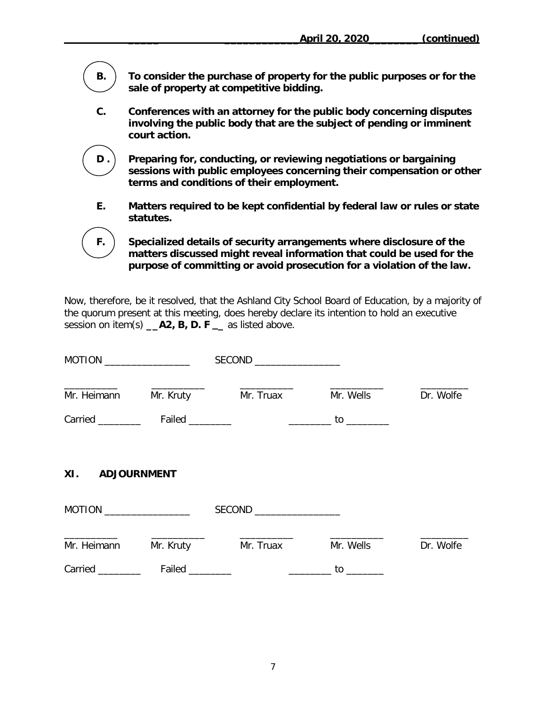**B. To consider the purchase of property for the public purposes or for the sale of property at competitive bidding.**

**C. Conferences with an attorney for the public body concerning disputes involving the public body that are the subject of pending or imminent court action.**

**D . Preparing for, conducting, or reviewing negotiations or bargaining sessions with public employees concerning their compensation or other terms and conditions of their employment.**

**E. Matters required to be kept confidential by federal law or rules or state statutes.**

**F. Specialized details of security arrangements where disclosure of the matters discussed might reveal information that could be used for the purpose of committing or avoid prosecution for a violation of the law.**

Now, therefore, be it resolved, that the Ashland City School Board of Education, by a majority of the quorum present at this meeting, does hereby declare its intention to hold an executive session on item(s) **\_\_A2, B, D. F \_** as listed above.

| MOTION $\_\_$    |           |                          |                |           |
|------------------|-----------|--------------------------|----------------|-----------|
| Mr. Heimann      | Mr. Kruty | Mr. Truax                | Mr. Wells      | Dr. Wolfe |
|                  |           |                          |                |           |
| XI. ADJOURNMENT  |           |                          |                |           |
|                  |           | SECOND _________________ |                |           |
| Mr. Heimann      | Mr. Kruty | Mr. Truax                | Mr. Wells      | Dr. Wolfe |
| Carried ________ |           |                          | $\frac{10}{2}$ |           |